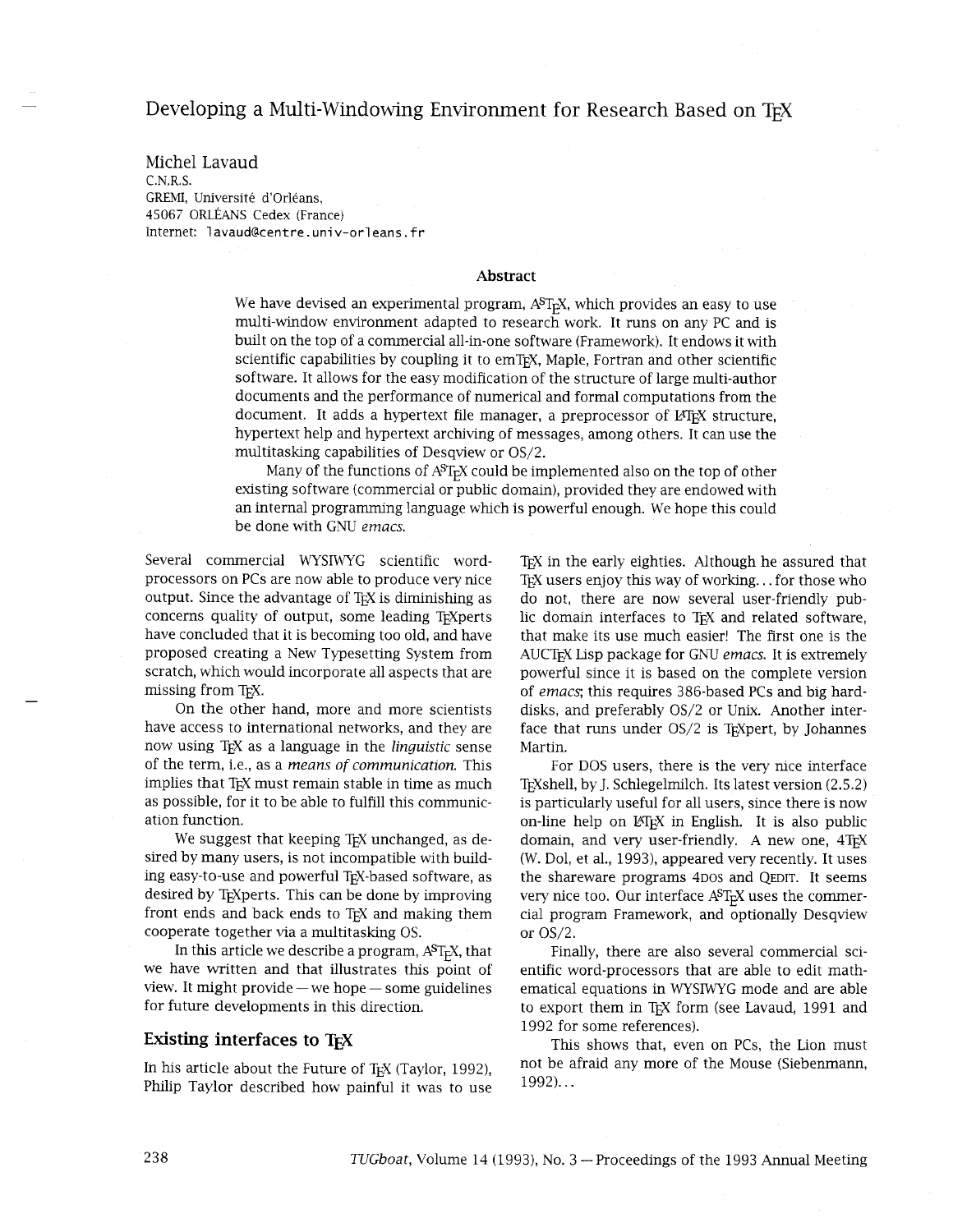# Developing a Multi-Windowing Environment for Research Based on TEX

Michel Lavaud C.N.R.S. GREMI, Universite d'orleans, 45067 ORLÉANS Cedex (France) Internet: lavaud@centre.univ-orleans.fr

#### **Abstract**

We have devised an experimental program,  $A^{ST}E^{X}$ , which provides an easy to use multi-window environment adapted to research work. It runs on any PC and is built on the top of a commercial all-in-one software (Framework). It endows it with scientific capabilities by coupling it to emTEX, Maple, Fortran and other scientific software. It allows for the easy modification of the structure of large multi-author documents and the performance of numerical and formal computations from the document. It adds a hypertext file manager, a preprocessor of LATEX structure, hypertext help and hypertext archving of messages, among others. It can use the multitasking capabilities of Desqview or OS/2.

Many of the functions of  $A^{S}T_{F}X$  could be implemented also on the top of other existing software (commercial or public domain), provided they are endowed with an internal programming language which is powerful enough. We hope this could be done with GNU *emacs.* 

Several commercial WYSIWYG scientific wordprocessors on PCs are now able to produce very nice output. Since the advantage of TEX is diminishing as concerns quality of output, some leading TrXperts have concluded that it is becoming too old, and have proposed creating a New Typesetting System from scratch, which would incorporate all aspects that are missing from TEX.

On the other hand, more and more scientists have access to international networks, and they are now using TEX as a language in the *linguistic* sense of the term, i.e., as a *means of communication.* This implies that T<sub>E</sub>X must remain stable in time as much as possible, for it to be able to fulfill this communication function.

We suggest that keeping TEX unchanged, as desired by many users, is not incompatible with building easy-to-use and powerful TEX-based software, as desired by T<sub>E</sub>Xperts. This can be done by improving front ends and back ends to T<sub>E</sub>X and making them cooperate together via a multitasking OS.

In this article we describe a program,  $A<sup>S</sup>T<sub>F</sub>X$ , that we have written and that illustrates this point of view. It might provide —we hope — some guidelines for future developments in this direction.

## **Existing interfaces to TEX**

In his article about the Future of TEX (Taylor, 1992), Philip Taylor described how painful it was to use TEX in the early eighties. Although he assured that TEX users enjoy this way of working... for those who do not, there are now several user-friendly public domain interfaces to TEX and related software, that make its use much easier! The first one is the AUCTEX Lisp package for GNU *emacs.* It is extremely powerful since it is based on the complete version of *emacs*; this requires 386-based PCs and big harddisks, and preferably OS/2 or Unix. Another interface that runs under OS/2 is TEXpert, by Johannes Martin.

For DOS users, there is the very nice interface T<sub>E</sub>Xshell, by J. Schlegelmilch. Its latest version (2.5.2) is particularly useful for all users, since there is now on-line help on LATEX in English. It is also public domain, and very user-friendly. A new one, 4TEX (W. Dol, et al., 1993), appeared very recently. It uses the shareware programs 4DOS and QEDIT. It seems very nice too. Our interface  $A^{S}T_{F}X$  uses the commercia1 program Framework, and optionally Desqview or OS/2.

Finally, there are also several commercial scientific word-processors that are able to edit mathematical equations in WYSIWYG mode and are able to export them in T<sub>F</sub>X form (see Lavaud, 1991 and 1992 for some references).

This shows that, even on PCs, the Lion must not be afraid any more of the Mouse (Siebenmann, 1992). . .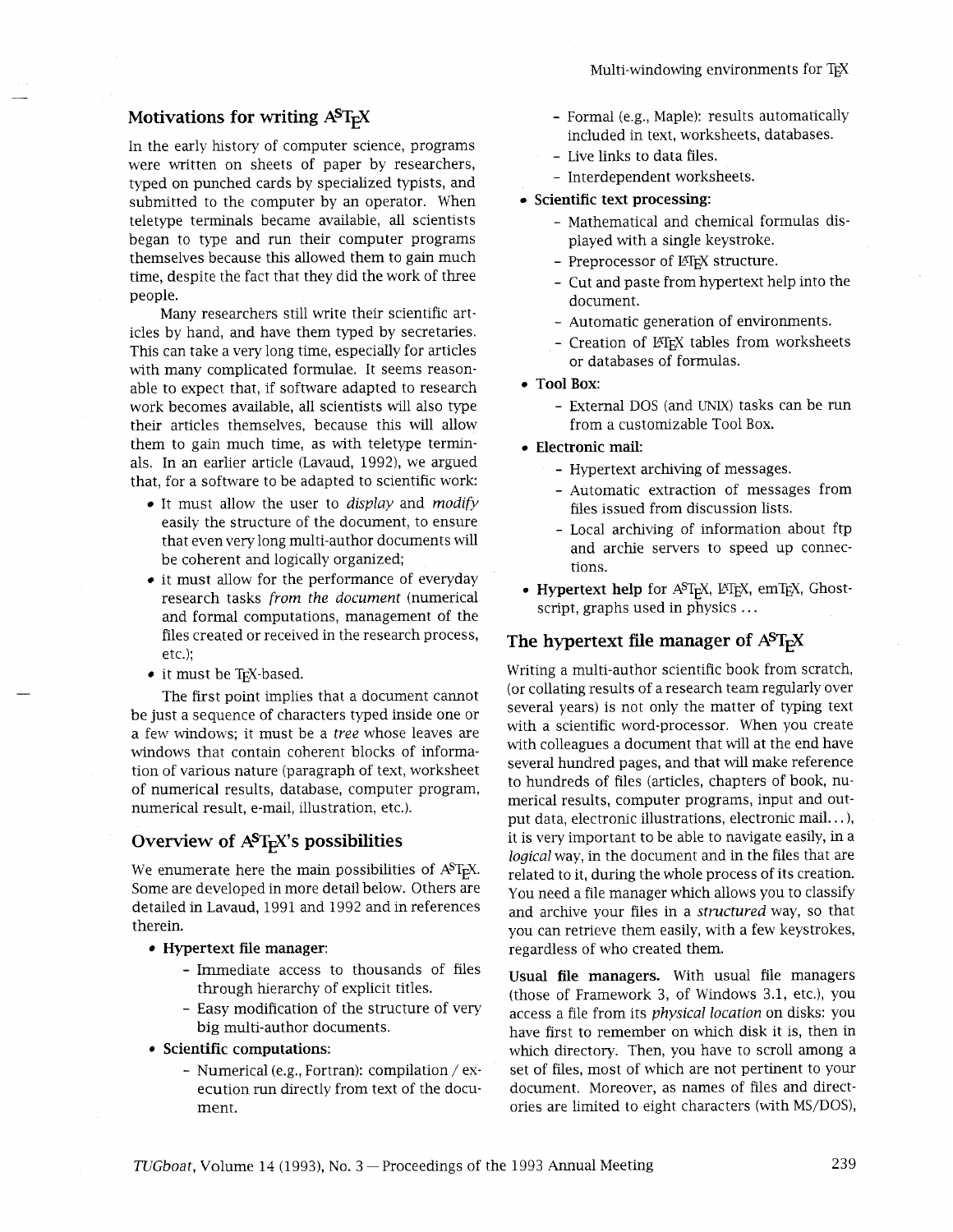## **Motivations for writing AST<sub>E</sub>X**

In the early history of computer science, programs were written on sheets of paper by researchers, typed on punched cards by specialized typists, and submitted to the computer by an operator. When teletype terminals became available, all scientists began to type and run their computer programs themselves because this allowed them to gain much time, despite the fact that they did the work of three people.

Many researchers still write their scientific articles by hand, and have them typed by secretaries. This can take a very long time, especially for articles with many complicated formulae. It seems reasonable to expect that, if software adapted to research work becomes available, all scientists will also type their articles themselves, because this will allow them to gain much time, as with teletype terminals. In an earlier article (Lavaud, 1992), we argued that, for a software to be adapted to scientific work:

- It must allow the user to *display* and *modify*  easily the structure of the document, to ensure that even very long multi-author documents will be coherent and logically organized;
- it must allow for the performance of everyday research tasks *from the document* (numerical and formal computations, management of the files created or received in the research process, etc.);
- it must be TFX-based.

The first point implies that a document cannot be just a sequence of characters typed inside one or a few windows; it must be a *tree* whose leaves are windows that contain coherent blocks of information of various nature (paragraph of text, worksheet of numerical results, database, computer program, numerical result, e-mail, illustration, etc.).

## **Overview of AST<sub>E</sub>X's possibilities**

We enumerate here the main possibilities of  $A<sup>S</sup>T<sub>F</sub>X$ . Some are developed in more detail below. Others are detailed in Lavaud, 1991 and 1992 and in references therein.

- **Hypertext file manager:** 
	- Immediate access to thousands of files through hierarchy of explicit titles.
	- Easy modification of the structure of very big multi-author documents.
- **Scientific computations:** 
	- Numerical (e.g., Fortran): compilation / execution run directly from text of the document.
- Formal (e.g., Maple): results automatically included in text, worksheets, databases.
- Live links to data files.
- Interdependent worksheets.

## **Scientific text processing:**

- Mathematical and chemical formulas displayed with a single keystroke.
- Preprocessor of LHFX structure.
- Cut and paste from hypertext help into the document.
- Automatic generation of environments.
- Creation of LATEX tables from worksheets or databases of formulas.
- **Tool Box:** 
	- External DOS (and UNIX) tasks can be run from a customizable Tool Box.
- **Electronic mail:** 
	- Hypertext archiving of messages.
	- Automatic extraction of messages from files issued from discussion lists.
	- Local archiving of information about ftp and archie servers to speed up connections.
- Hypertext help for A<sup>ST</sup><sub>F</sub>X, L<sup>AT</sup>EX, emT<sub>E</sub>X, Ghostscript, graphs used in physics ...

## **The hypertext file manager of**  $A^{S}T_{F}X$

Writing a multi-author scientific book from scratch, (or collating results of a research team regularly over several years) is not only the matter of typing text with a scientific word-processor. When you create with colleagues a document that will at the end have several hundred pages, and that will make reference to hundreds of files (articles, chapters of book, numerical results, computer programs, input and output data, electronic illustrations, electronic mail.. . ), it is very important to be able to navigate easily, in a *logical* way, in the document and in the files that are related to it, during the whole process of its creation. You need a file manager which allows you to classify and archive your files in a *structured* way, so that you can retrieve them easily, with a few keystrokes, regardless of who created them.

**Usual file managers.** With usual file managers (those of Framework 3, of Windows 3.1, etc.), you access a file from its *physical location* on disks: you have first to remember on which disk it is, then in which directory. Then, you have to scroll among a set of files, most of which are not pertinent to your document. Moreover, as names of files and directories are limited to eight characters (with MS/DOS),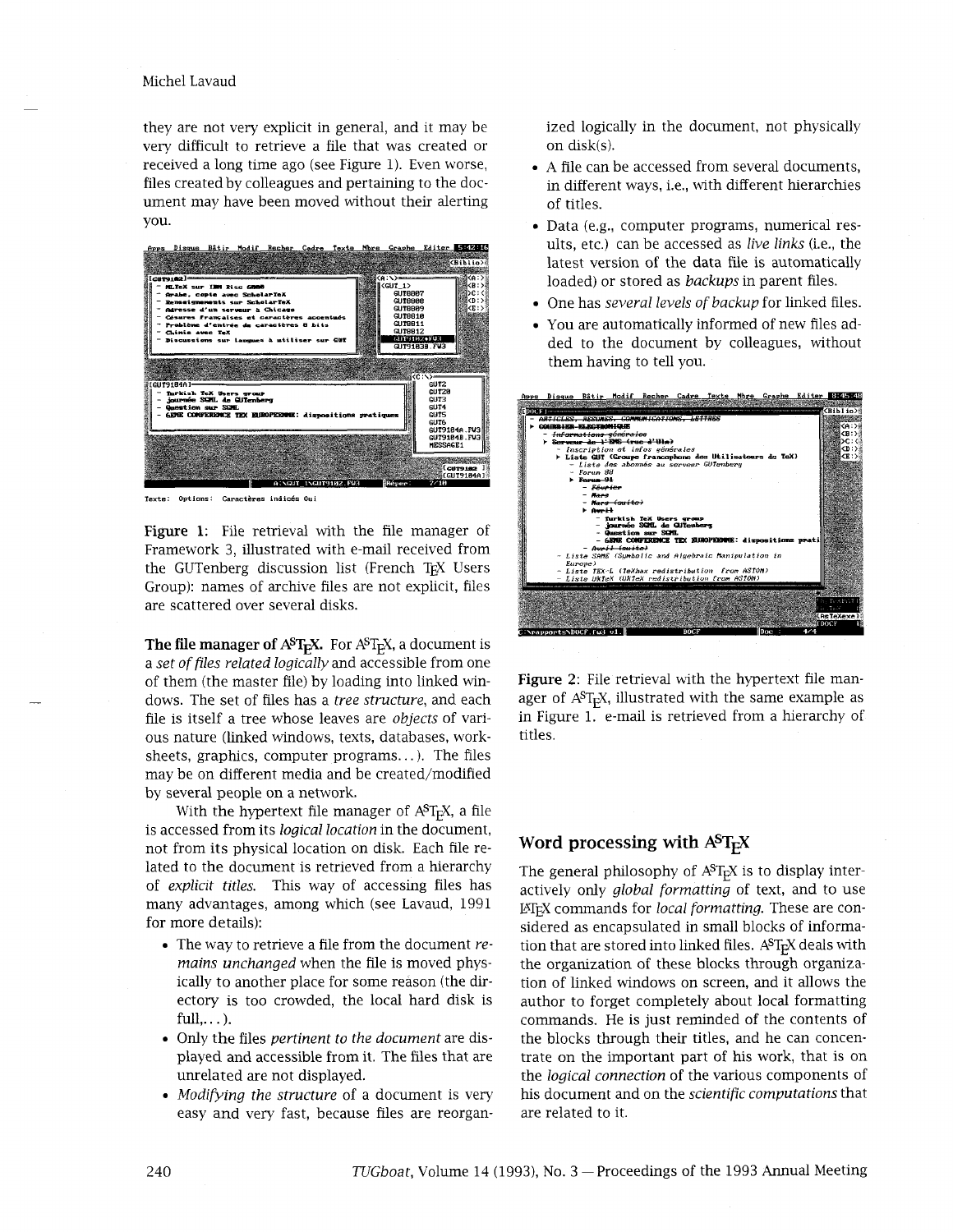#### Michel Lavaud

they are not very explicit in general, and it may be very difficult to retrieve a file that was created or received a long time ago (see Figure 1). Even worse, files created by colleagues and pertaining to the document may have been moved without their alerting you.



**Texte:** Options: Caractères indicés Oui

Figure **1:** File retrieval with the file manager of Framework **3,** illustrated with e-mail received from the GUTenberg discussion list (French TrX Users Group): names of archive files are not explicit, files are scattered over several disks.

**The file manager of AST<sub>E</sub>X.** For AST<sub>E</sub>X, a document is a *set of files related logically* and accessible from one of them (the master file) by loading into linked windows. The set of files has a *tree structure,* and each file is itself a tree whose leaves are *objects* of various nature (linked windows, texts, databases, worksheets, graphics, computer programs...). The files may be on different media and be created/modified by several people on a network.

With the hypertext file manager of  $A^{ST}FX$ , a file is accessed from its *logical location* in the document, not from its physical location on disk. Each file related to the document is retrieved from a hierarchy of *explicit titles.* Ths way of accessing files has many advantages, among which (see Lavaud, 1991 for more details):

- The way to retrieve a file from the document *remains unchanged* when the file is moved physically to another place for some reason (the directory is too crowded, the local hard disk is  $full, \ldots$ ).
- Only the files *pertinent to the document* are displayed and accessible from it. The files that are unrelated are not displayed.
- *Modifying the structure* of a document is very easy and very fast, because files are reorgan-

ized logically in the document, not physically on disk(s).

- A file can be accessed from several documents, in different ways, i.e., with different hierarchies of titles.
- Data (e.g., computer programs, numerical results, etc.) can be accessed as *live links* (i.e., the latest version of the data file is automatically loaded) or stored as *backups* in parent files.
- One has *several levels of backup* for linked files.
- You are automatically informed of new files added to the document by colleagues, without them having to tell you.

| Apps Disque Bâtir Modif Recher Cadre Texte Nbre Graphe Editer 8145126                        |                 |                   |                                                  |             |  |  |      |     |              |
|----------------------------------------------------------------------------------------------|-----------------|-------------------|--------------------------------------------------|-------------|--|--|------|-----|--------------|
|                                                                                              |                 |                   |                                                  |             |  |  |      |     |              |
|                                                                                              |                 |                   |                                                  |             |  |  |      |     | KBiblin>     |
| ART CLES                                                                                     |                 |                   |                                                  |             |  |  |      |     |              |
| COURRIER-ELECTRONIQUE                                                                        |                 |                   |                                                  |             |  |  |      |     |              |
| - <del>informations générales</del><br>> Serveur de l'ENS (rue d'Ula)                        |                 |                   |                                                  |             |  |  |      |     |              |
|                                                                                              |                 |                   |                                                  |             |  |  |      |     | c'n:         |
| - Inscription et infos uémérales<br>> Liste GUT (Groupe francophone des Utilisateurs de TeX) |                 |                   |                                                  |             |  |  |      |     | KE:)         |
| Liste des abonnés au serveur GUTenberg                                                       |                 |                   |                                                  |             |  |  |      |     |              |
| Forum 88                                                                                     |                 |                   |                                                  |             |  |  |      |     |              |
| $\triangleright$ Forms $-94$                                                                 |                 |                   |                                                  |             |  |  |      |     |              |
|                                                                                              | - Fóurier       |                   |                                                  |             |  |  |      |     |              |
|                                                                                              | $-$ <i>Hans</i> |                   |                                                  |             |  |  |      |     |              |
|                                                                                              |                 | - Mars (suite)    |                                                  |             |  |  |      |     |              |
|                                                                                              | <b>F</b> Auril  |                   |                                                  |             |  |  |      |     |              |
|                                                                                              |                 |                   | - Turkish TeX Users group                        |             |  |  |      |     |              |
| - journée SQLL de QJTenberg<br>- Question sur SCML                                           |                 |                   |                                                  |             |  |  |      |     |              |
| - GENE CONFERENCE TEX ELHOPEEMPE: dispositions prati                                         |                 |                   |                                                  |             |  |  |      |     |              |
|                                                                                              |                 | $-$ Aveil (suite) |                                                  |             |  |  |      |     |              |
|                                                                                              |                 |                   |                                                  |             |  |  |      |     |              |
| - Lista SAME (Sumbolic and Aluebraic Manipulation in<br>Europe)                              |                 |                   |                                                  |             |  |  |      |     |              |
|                                                                                              |                 |                   | - Liste TEX-L (TeXhax redistribution from ASTON) |             |  |  |      |     |              |
|                                                                                              |                 |                   | - Liste UKTeX (UKTeX redistribution from ASTON)  |             |  |  |      |     |              |
|                                                                                              |                 |                   |                                                  |             |  |  |      |     |              |
|                                                                                              |                 |                   |                                                  |             |  |  |      |     |              |
|                                                                                              |                 |                   |                                                  |             |  |  |      |     | 药一种抗菌<br>tev |
|                                                                                              |                 |                   |                                                  |             |  |  |      |     | [AsTeXexe]   |
|                                                                                              |                 |                   |                                                  |             |  |  |      |     | <b>TDOCF</b> |
| : \rapports\DOCF.fu3 v1.                                                                     |                 |                   |                                                  | <b>DOCF</b> |  |  | Date | 474 |              |
|                                                                                              |                 |                   |                                                  |             |  |  |      |     |              |

**Figure 2:** File retrieval with the hypertext file manager of  $A^{S}T_{F}X$ , illustrated with the same example as in Figure 1. e-mail is retrieved from a hierarchy of titles.

## **Word processing with**  $A^ST_FX$

The general philosophy of  $A^{ST}$ <sub>F</sub>X is to display interactively only *global formatting* of text, and to use LATEX commands for *local formatting.* These are considered as encapsulated in small blocks of information that are stored into linked files. A<sup>S</sup>T<sub>E</sub>X deals with the organization of these blocks through organization of linked windows on screen, and it allows the author to forget completely about local formatting commands. He is just reminded of the contents of the blocks through their titles, and he can concentrate on the important part of his work, that is on the *logical connection* of the various components of hs document and on the *scientific computations* that are related to it.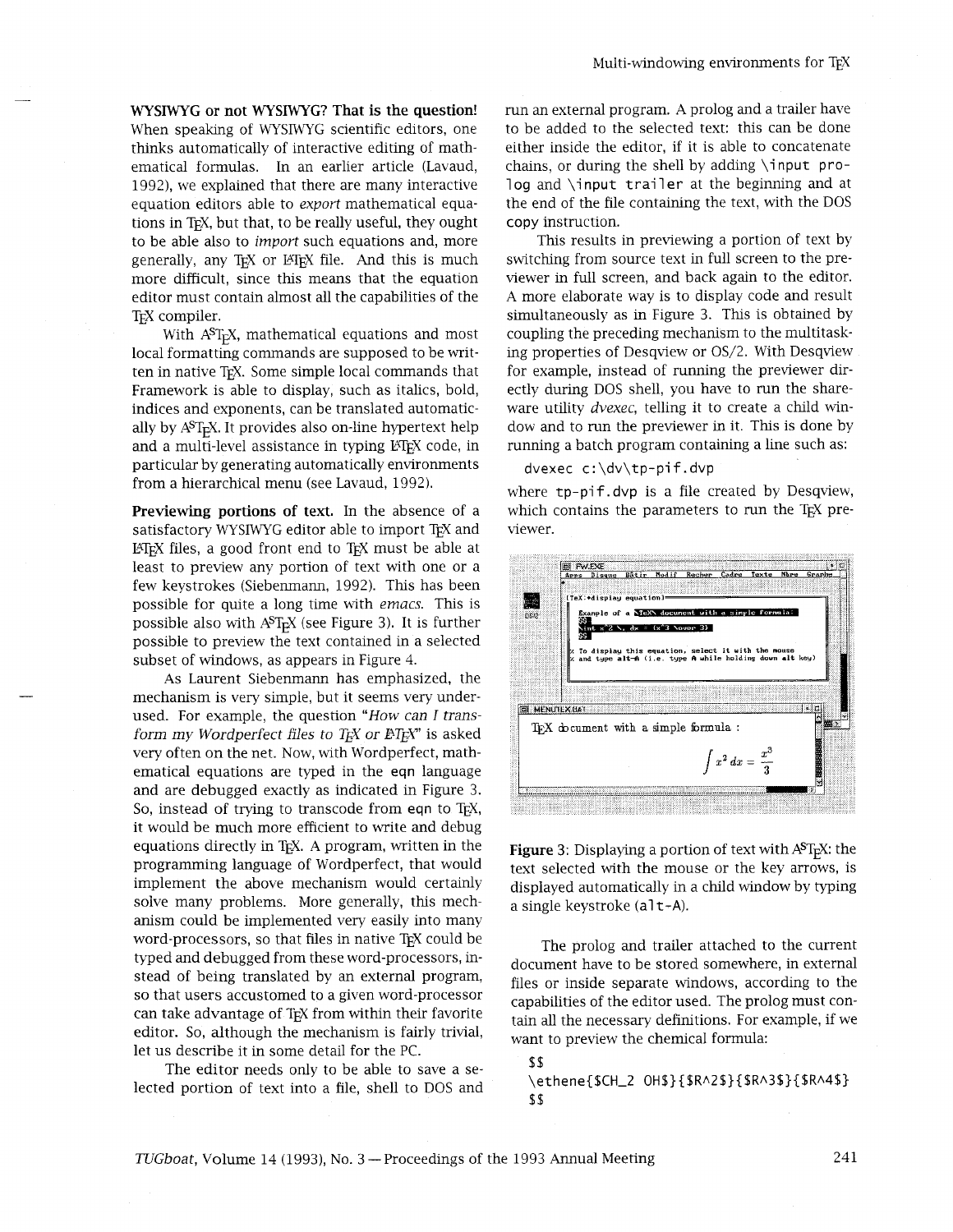**WYSIWYG or not WYSIWYG? That is the question!**  When speaking of WYSIWYG scientific editors, one thinks automatically of interactive editing of mathematical formulas. In an earlier article (Lavaud, 1992), we explained that there are many interactive equation editors able to *export* mathematical equations in T<sub>F</sub>X, but that, to be really useful, they ought to be able also to *import* such equations and, more generally, any TEX or IATEX file. And this is much more difficult, since this means that the equation editor must contain almost all the capabilities of the T<sub>E</sub>X compiler.

With A<sup>S</sup>T<sub>F</sub>X, mathematical equations and most local formatting commands are supposed to be written in native T<sub>F</sub>X. Some simple local commands that Framework is able to display, such as italics, bold, indices and exponents, can be translated automatically by A<sup>ST</sup><sub>E</sub>X. It provides also on-line hypertext help and a multi-level assistance in typing LATEX code, in particular by generating automatically environments from a hierarchical menu (see Lavaud, 1992).

**Previewing portions of text.** In the absence of a satisfactory WYSIWYG editor able to import TEX and IATEX files, a good front end to TEX must be able at least to preview any portion of text with one or a few keystrokes (Siebenmann, 1992). This has been possible for quite a long time with *emacs.* This is possible also with  $A^{ST}F X$  (see Figure 3). It is further possible to preview the text contained in a selected subset of windows, as appears in Figure 4.

As Laurent Siebenmann has emphasized, the mechanism is very simple, but it seems very underused. For example, the question *"How can* I *transform my Wordperfect files to T<sub>E</sub>X or BT<sub>E</sub>X"* is asked very often on the net. Now, with Wordperfect, mathematical equations are typed in the eqn language and are debugged exactly as indicated in Figure 3. So, instead of trying to transcode from **eqn** to TEX, it would be much more efficient to write and debug equations directly in T<sub>E</sub>X. A program, written in the programming language of Wordperfect, that would implement the above mechanism would certainly solve many problems. More generally, this mechanism could be implemented very easily into many word-processors, so that files in native TFX could be typed and debugged from these word-processors, instead of being translated by an external program, so that users accustomed to a given word-processor can take advantage of TEX from within their favorite editor. So, although the mechanism is fairly trivial, let us describe it in some detail for the PC.

The editor needs only to be able to save a selected portion of text into a file, shell to DOS and run an external program. A prolog and a trailer have to be added to the selected text: this can be done either inside the editor, if it is able to concatenate chains, or during the shell by adding \i nput prolog and \input trailer at the beginning and at the end of the file containing the text, with the DOS copy instruction.

This results in previewing a portion of text by switching from source text in full screen to the previewer in full screen, and back again to the editor. A more elaborate way is to display code and result simultaneously as in Figure 3. This is obtained by coupling the preceding mechanism to the multitasking properties of Desqview or OS/2. With Desqview for example, instead of running the previewer directly during DOS shell, you have to run the shareware utility *dvexec,* telling it to create a child window and to run the previewer in it. This is done by running a batch program containing a line such as:

#### dvexec c:\dv\tp-pif.dvp

where tp-pif.dvp is a file created by Desqview, which contains the parameters to run the TEX previewer.



**Figure 3:** Displaying a portion of text with A<sup>ST</sup>FX: the text selected with the mouse or the key arrows, is displayed automatically in a child window by typing a single keystroke (a1 t-A).

The prolog and trailer attached to the current document have to be stored somewhere, in external files or inside separate windows, according to the capabilities of the editor used. The prolog must contain all the necessary definitions. For example, if we want to preview the chemical formula:

\$\$ \ethene{\$CH\_2 OH\$}{\$R^2\$}{\$R^3\$}{\$R^4\$} \$ \$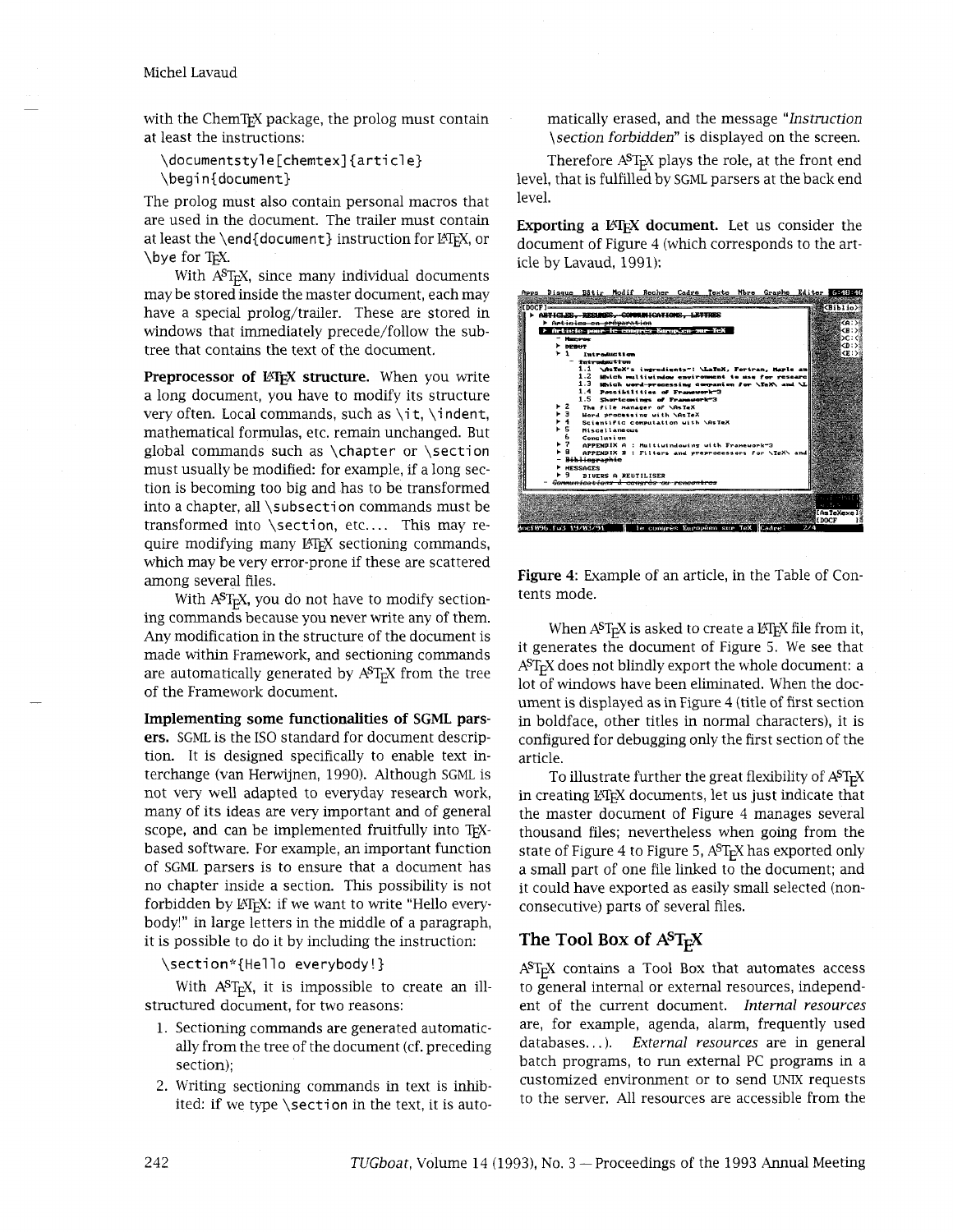#### Michel Lavaud

with the ChemT<sub>E</sub>X package, the prolog must contain at least the instructions:

\documentsty1 e [chemtex] {article} \begin{document}

The prolog must also contain personal macros that are used in the document. The trailer must contain at least the \end{document} instruction for LATEX, or \bye for T<sub>EX</sub>.

With A<sup>S</sup>T<sub>E</sub>X, since many individual documents  $m$ ay be stored inside the master document, each may have a special prolog/trailer. These are stored in windows that immediately precede/follow the subtree that contains the text of the document.

**Preprocessor of LATEX structure.** When you write a long document, you have to modify its structure very often. Local commands, such as  $\iota$ t,  $\iota$ ndent, mathematical formulas, etc. remain unchanged. But global commands such as \chapter or \section must usually be modified: for example, if a long section is becoming too big and has to be transformed into a chapter, all \subsection commands must be transformed into \section, etc.... This may require modifying many LATEX sectioning commands, which may be very error-prone if these are scattered

With  $A^{ST}F_X$ , you do not have to modify sectioning commands because you never write any of them. Any modification in the structure of the document is made within Framework, and sectioning commands are automatically generated by  $A^{S}T_{F}X$  from the tree of the Framework document.

**Implementing some functionalities of SGML parsers.** SGML is the IS0 standard for document description. It is designed specifically to enable text interchange (van Herwijnen, 1990). Although SGML is not very well adapted to everyday research work, many of its ideas are very important and of general scope, and can be implemented fruitfully into TFXbased software. For example, an important function of SGML parsers is to ensure that a document has no chapter inside a section. This possibility is not forbidden by LATEX: if we want to write "Hello everybody!" in large letters in the middle of a paragraph, it is possible to do it by including the instruction:

\section\*{Hello everybody!}

With  $A^{S}T_{F}X$ , it is impossible to create an illstructured document, for two reasons:

- 1. Sectioning commands are generated automatically from the tree of the document (cf. preceding section);
- 2. Writing sectioning commands in text is inhibited: if we type \section in the text, it is auto-

matically erased, and the message *"Instruction \section forbidden"* is displayed on the screen.

Therefore A<sup>ST</sup><sub>F</sub>X plays the role, at the front end level, that is fulfilled by SGML parsers at the back end level.

**Exporting a LATEX document.** Let us consider the document of Figure 4 (whlch corresponds to the article by Lavaud, 1991):

|               |                                                                                                                                                                                                        |                 |                      |                           |                                                     |  |  |  |                                                      |               | <u> Apps Disque Bâtir Modif Recher Cadre Texte Nbre Graphe Editer (GE18216</u> |
|---------------|--------------------------------------------------------------------------------------------------------------------------------------------------------------------------------------------------------|-----------------|----------------------|---------------------------|-----------------------------------------------------|--|--|--|------------------------------------------------------|---------------|--------------------------------------------------------------------------------|
|               |                                                                                                                                                                                                        |                 |                      |                           |                                                     |  |  |  |                                                      |               |                                                                                |
| <b>FDOCF1</b> |                                                                                                                                                                                                        |                 |                      |                           |                                                     |  |  |  |                                                      |               | KBiblio)                                                                       |
|               | r abticled.                                                                                                                                                                                            |                 |                      |                           | BRRIADES COMMUNICATIONS LETTRES                     |  |  |  |                                                      |               |                                                                                |
|               |                                                                                                                                                                                                        |                 |                      | ≻ Artiolos en prévaration |                                                     |  |  |  |                                                      |               | <a:< th=""></a:<>                                                              |
|               | > Article pour le congrès Kuropien sur TeX                                                                                                                                                             |                 |                      |                           |                                                     |  |  |  |                                                      |               | CB : :                                                                         |
|               | Hazeros<br>$F$ DEBUT                                                                                                                                                                                   |                 |                      |                           |                                                     |  |  |  |                                                      | CD : 54       |                                                                                |
|               |                                                                                                                                                                                                        | 1.              |                      | <b>Tutroduction</b>       |                                                     |  |  |  |                                                      |               | KE: 58                                                                         |
|               |                                                                                                                                                                                                        |                 |                      |                           |                                                     |  |  |  |                                                      |               |                                                                                |
|               | <b>Technology Lines</b><br>1.1<br>\AsTeX's ingredients": \LaTeX, Fortran, Maple an<br>1.2<br>Mhich multiuindow environment to use for research<br>1.3 Which word-processing companion for \TeX\ and \L |                 |                      |                           |                                                     |  |  |  |                                                      |               |                                                                                |
|               |                                                                                                                                                                                                        |                 |                      |                           |                                                     |  |  |  |                                                      |               |                                                                                |
|               |                                                                                                                                                                                                        |                 |                      |                           |                                                     |  |  |  |                                                      |               |                                                                                |
|               |                                                                                                                                                                                                        |                 |                      |                           | 1.4 Possibilities of Framework 3                    |  |  |  |                                                      |               |                                                                                |
|               |                                                                                                                                                                                                        |                 |                      |                           |                                                     |  |  |  |                                                      |               |                                                                                |
|               | $1.5$ Shortcomings of Framework 3<br>2<br>The file manager of \AsTeX                                                                                                                                   |                 |                      |                           |                                                     |  |  |  |                                                      |               |                                                                                |
|               | Mord processing with \AsTeX<br>$\overline{4}$<br>Scientific computation with \AsTeX<br>5<br><b>Hiscollaneous</b>                                                                                       |                 |                      |                           |                                                     |  |  |  |                                                      |               |                                                                                |
|               |                                                                                                                                                                                                        |                 |                      |                           |                                                     |  |  |  |                                                      |               |                                                                                |
|               |                                                                                                                                                                                                        |                 |                      |                           |                                                     |  |  |  |                                                      |               |                                                                                |
|               |                                                                                                                                                                                                        | 6               | Conclusion           |                           |                                                     |  |  |  |                                                      |               |                                                                                |
|               |                                                                                                                                                                                                        | ► 7             |                      |                           | <b>APPENDIX A : Multiuindowing with Framework"3</b> |  |  |  |                                                      |               |                                                                                |
|               |                                                                                                                                                                                                        | я.              |                      |                           |                                                     |  |  |  | APPENDIX B : Filters and preprocessors for \TeX\ and |               |                                                                                |
|               |                                                                                                                                                                                                        |                 | <b>Bibliographie</b> |                           |                                                     |  |  |  |                                                      |               |                                                                                |
|               |                                                                                                                                                                                                        | <b>MESSAGES</b> |                      |                           |                                                     |  |  |  |                                                      |               |                                                                                |
|               |                                                                                                                                                                                                        | ٩               |                      | DIVERS A REUTILISER       |                                                     |  |  |  |                                                      |               |                                                                                |
|               |                                                                                                                                                                                                        |                 |                      |                           | Sommunications à convrès ou rencontres              |  |  |  |                                                      |               |                                                                                |
|               |                                                                                                                                                                                                        |                 |                      |                           |                                                     |  |  |  |                                                      |               |                                                                                |
|               |                                                                                                                                                                                                        |                 |                      |                           |                                                     |  |  |  |                                                      |               |                                                                                |
|               |                                                                                                                                                                                                        |                 |                      |                           |                                                     |  |  |  |                                                      |               | [As ToXexe]                                                                    |
|               |                                                                                                                                                                                                        |                 |                      |                           |                                                     |  |  |  |                                                      | <b>ILDOCF</b> |                                                                                |
|               | docf896.fw3.19/83/91                                                                                                                                                                                   |                 |                      |                           | le congrès Européen sur TeX Cadre.                  |  |  |  |                                                      | 2/4           |                                                                                |

among several files.<br>With AST Y vou do not have to modify section tents mode.

When  $A^{S}T_{E}X$  is asked to create a  $E_{E}X$  file from it, it generates the document of Figure *5.* We see that  $A<sup>S</sup>T<sub>F</sub>X$  does not blindly export the whole document: a lot of windows have been eliminated. When the document is displayed as in Figure 4 (title of first section in boldface, other titles in normal characters), it is configured for debugging only the first section of the article.

To illustrate further the great flexibility of  $A^{S}T_{F}X$ in creating LATEX documents, let us just indicate that the master document of Figure 4 manages several thousand files; nevertheless when going from the state of Figure 4 to Figure 5, A<sup>S</sup>T<sub>F</sub>X has exported only a small part of one file linked to the document; and it could have exported as easily small selected (nonconsecutive) parts of several files.

## **The Tool Box of**  $A^S T_F X$

ASTEX contains a Tool Box that automates access to general internal or external resources, independent of the current document. *Internal resources*  are, for example, agenda, alarm, frequently used databases.. . ). *External resources* are in general batch programs, to run external PC programs in a customized environment or to send UNIX requests to the server. All resources are accessible from the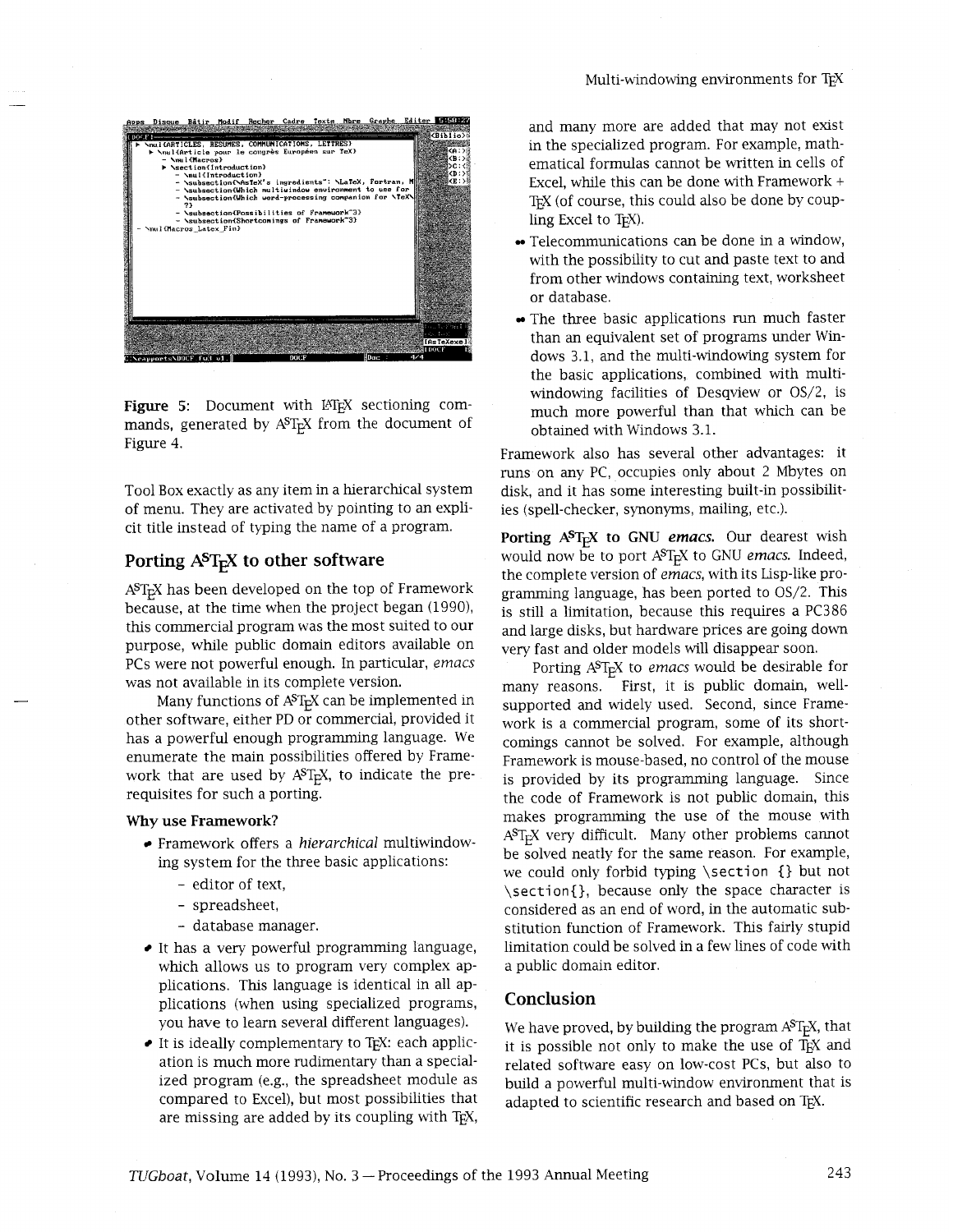

Figure 5: Document with IATEX sectioning commands, generated by  $A^{S}T_{F}X$  from the document of Figure 4.

Tool Box exactly as any item in a hierarchical system of menu. They are activated by pointing to an explicit title instead of typing the name of a program.

## **Porting AST<sub>F</sub>X to other software**

A<sup>ST</sup><sub>E</sub>X has been developed on the top of Framework because, at the time when the project began (1990), this commercial program was the most suited to our purpose, whle public domain editors available on PCs were not powerful enough. In particular, *emacs*  was not available in its complete version.

Many functions of  $A^{ST}FX$  can be implemented in other software, either PD or commercial, provided it has a powerful enough programming language. We enumerate the main possibilities offered by Framework that are used by  $A^{S}T_{F}X$ , to indicate the prerequisites for such a porting.

#### **Why use Framework?**

- Framework offers a *hierarchical* multiwindowing system for the three basic applications:
	- editor of text,
	- spreadsheet,
	- database manager.
- $\bullet$  It has a very powerful programming language, which allows us to program very complex applications. This language is identical in all applications (when using specialized programs, you have to learn several different languages).
- It is ideally complementary to TEX: each application is much more rudimentary than a specialized program (e.g., the spreadsheet module as compared to Excel), but most possibilities that are missing are added by its coupling with T<sub>EX</sub>,

and many more are added that may not exist in the specialized program. For example, mathematical formulas cannot be written in cells of Excel, while this can be done with Framework + TEX (of course, this could also be done by coupling Excel to T<sub>E</sub>X).

- Telecommunications can be done in a window, with the possibility to cut and paste text to and from other windows containing text, worksheet or database.
- The three basic applications run much faster than an equivalent set of programs under Windows 3.1, and the multi-windowing system for the basic applications, combined with multiwindowing facilities of Desqview or OS/2, is much more powerful than that which can be obtained with Windows 3.1.

Framework also has several other advantages: it runs on any PC, occupies only about 2 Mbytes on disk, and it has some interesting built-in possibilities (spell-checker, synonyms, mailing, etc.).

**Porting ASTEX to GNU** *emacs.* Our dearest wish would now be to port A<sup>ST</sup>FX to GNU emacs. Indeed, the complete version of *emacs,* with its Lisp-like programming language, has been ported to OS/2. This is still a limitation, because this requires a PC386 and large disks, but hardware prices are going down very fast and older models will disappear soon.

Porting A<sup>ST<sub>E</sub>X</sub> to *emacs* would be desirable for</sup> many reasons. First, it is public domain, wellsupported and widely used. Second, since Framework is a commercial program, some of its shortcomings cannot be solved. For example, although Framework is mouse-based, no control of the mouse is provided by its programming language. Since the code of Framework is not public domain, this makes programming the use of the mouse wiith A<sup>S</sup>T<sub>E</sub>X very difficult. Many other problems cannot be solved neatly for the same reason. For example, we could only forbid typing \section {} but not \section{}, because only the space character is considered as an end of word, in the automatic substitution function of Framework. This fairly stupid limitation could be solved in a few lines of code with a public domain editor.

## **Conclusion**

We have proved, by building the program  $A^{ST}E^{X}$ , that it is possible not only to make the use of TEX and related software easy on low-cost PCs, but also to build a powerful multi-window environment that is adapted to scientific research and based on TEX.